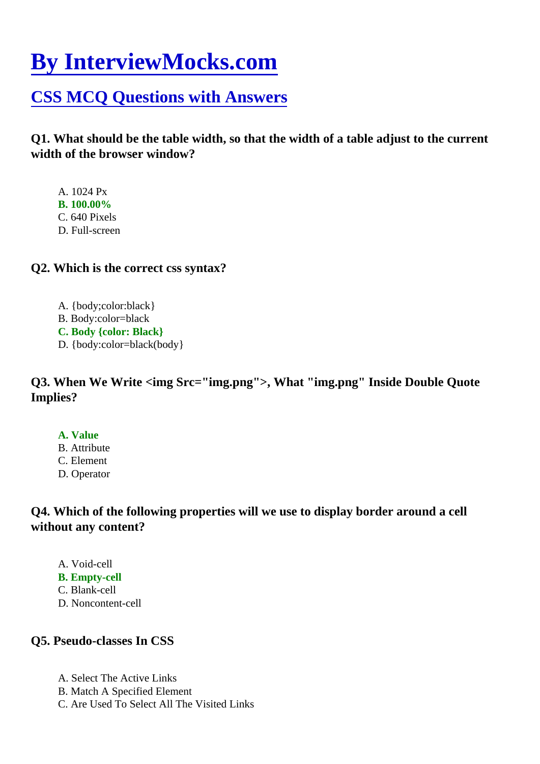# [By InterviewMocks.com](https://www.interviewmocks.com/)

# [CSS MCQ Questions with Answer](https://www.interviewmocks.com/css-mcq/)s

Q1. What should be the table width, so that the width of a table adjust to the current width of the browser window?

- A. 1024 Px
- B. 100.00%
- C. 640 Pixels
- D. Full-screen
- Q2. Which is the correct css syntax?
	- A. {body;color:black}
	- B. Body:color=black
	- C. Body {color: Black}
	- D. {body:color=black(body}

Q3. When We Write <img Src="img.png">, What "img.png" Inside Double Quote Implies?

- A. Value
- B. Attribute
- C. Element
- D. Operator

Q4. Which of the following properties will we use to display border around a cell without any content?

- A. Void-cell
- B. Empty-cell
- C. Blank-cell
- D. Noncontent-cell

# Q5. Pseudo-classes In CSS

- A. Select The Active Links
- B. Match A Specified Element
- C. Are Used To Select All The Visited Links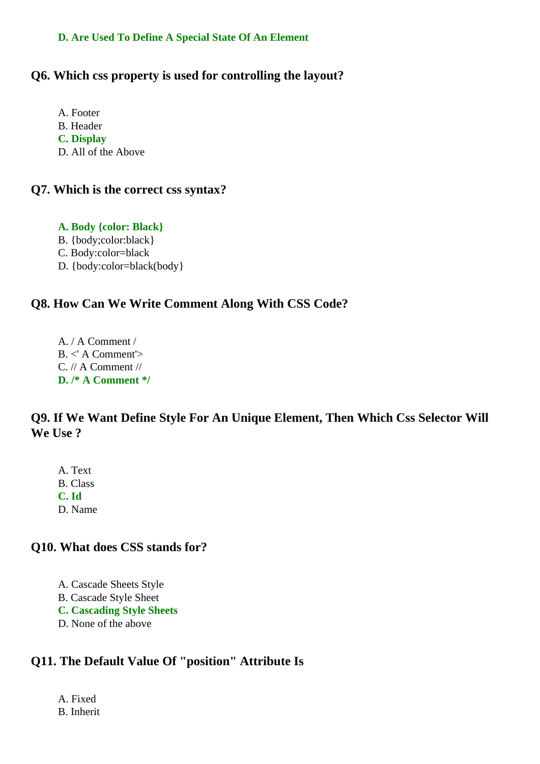#### **D. Are Used To Define A Special State Of An Element**

#### **Q6. Which css property is used for controlling the layout?**

- A. Footer B. Header **C. Display**
- D. All of the Above

#### **Q7. Which is the correct css syntax?**

**A. Body {color: Black}** B. {body;color:black} C. Body:color=black D. {body:color=black(body}

#### **Q8. How Can We Write Comment Along With CSS Code?**

A. / A Comment / B. <' A Comment'> C. // A Comment // **D. /\* A Comment \*/**

# **Q9. If We Want Define Style For An Unique Element, Then Which Css Selector Will We Use ?**

A. Text B. Class **C. Id** D. Name

#### **Q10. What does CSS stands for?**

- A. Cascade Sheets Style B. Cascade Style Sheet **C. Cascading Style Sheets**
- D. None of the above

# **Q11. The Default Value Of "position" Attribute Is**

A. Fixed B. Inherit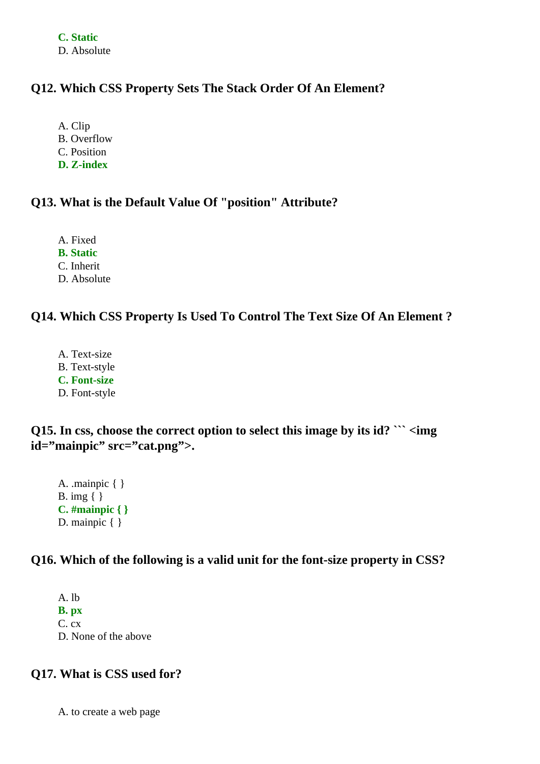**C. Static** D. Absolute

#### **Q12. Which CSS Property Sets The Stack Order Of An Element?**

A. Clip B. Overflow C. Position

**D. Z-index**

#### **Q13. What is the Default Value Of "position" Attribute?**

A. Fixed

**B. Static**

C. Inherit

D. Absolute

# **Q14. Which CSS Property Is Used To Control The Text Size Of An Element ?**

A. Text-size B. Text-style **C. Font-size** D. Font-style

**Q15. In css, choose the correct option to select this image by its id? ``` <img id="mainpic" src="cat.png">.**

A. .mainpic { } B. img  $\{ \}$ **C. #mainpic { }** D. mainpic { }

#### **Q16. Which of the following is a valid unit for the font-size property in CSS?**

A. lb **B. px** C. cx D. None of the above

#### **Q17. What is CSS used for?**

A. to create a web page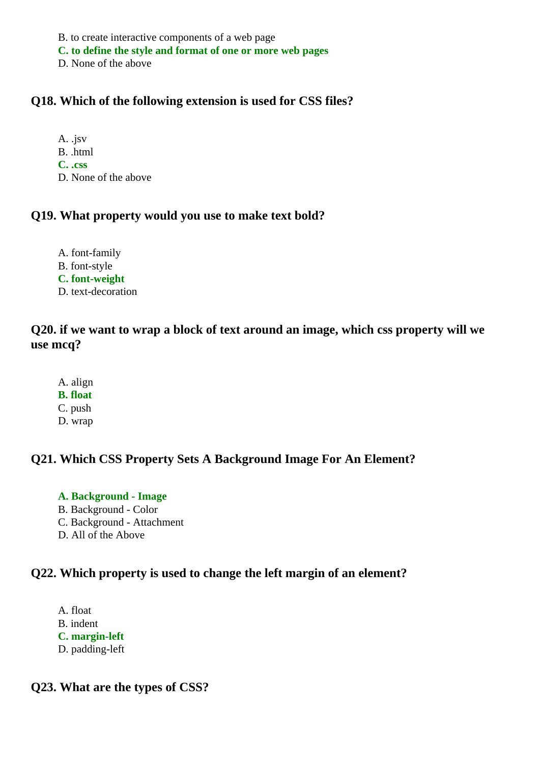B. to create interactive components of a web page

**C. to define the style and format of one or more web pages**

D. None of the above

### **Q18. Which of the following extension is used for CSS files?**

A. .jsv B. .html **C. .css** D. None of the above

#### **Q19. What property would you use to make text bold?**

A. font-family B. font-style **C. font-weight** D. text-decoration

# **Q20. if we want to wrap a block of text around an image, which css property will we use mcq?**

- A. align
- **B. float**
- C. push
- D. wrap

# **Q21. Which CSS Property Sets A Background Image For An Element?**

# **A. Background - Image**

- B. Background Color
- C. Background Attachment
- D. All of the Above

# **Q22. Which property is used to change the left margin of an element?**

A. float B. indent **C. margin-left** D. padding-left

#### **Q23. What are the types of CSS?**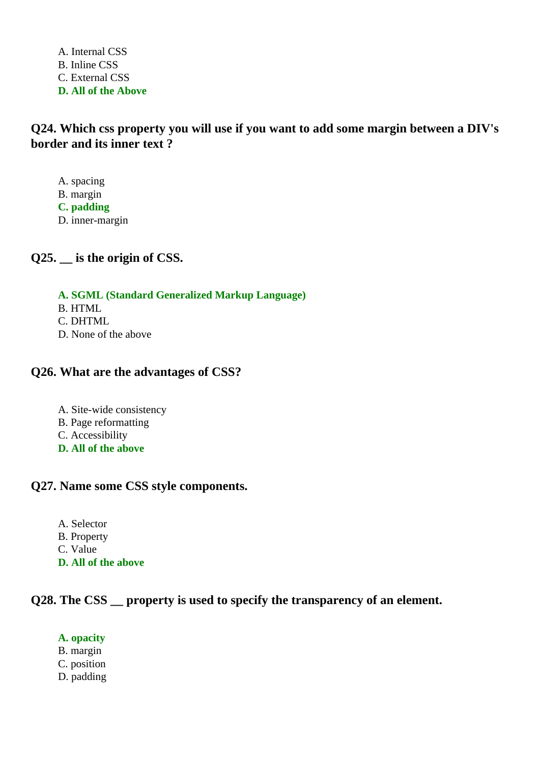A. Internal CSS B. Inline CSS C. External CSS **D. All of the Above**

**Q24. Which css property you will use if you want to add some margin between a DIV's border and its inner text ?**

A. spacing B. margin **C. padding** D. inner-margin

**Q25. \_\_ is the origin of CSS.**

**A. SGML (Standard Generalized Markup Language)**

- B. HTML
- C. DHTML
- D. None of the above

#### **Q26. What are the advantages of CSS?**

- A. Site-wide consistency
- B. Page reformatting
- C. Accessibility
- **D. All of the above**

#### **Q27. Name some CSS style components.**

A. Selector B. Property C. Value **D. All of the above**

#### **Q28. The CSS** property is used to specify the transparency of an element.

#### **A. opacity**

- B. margin
- C. position
- D. padding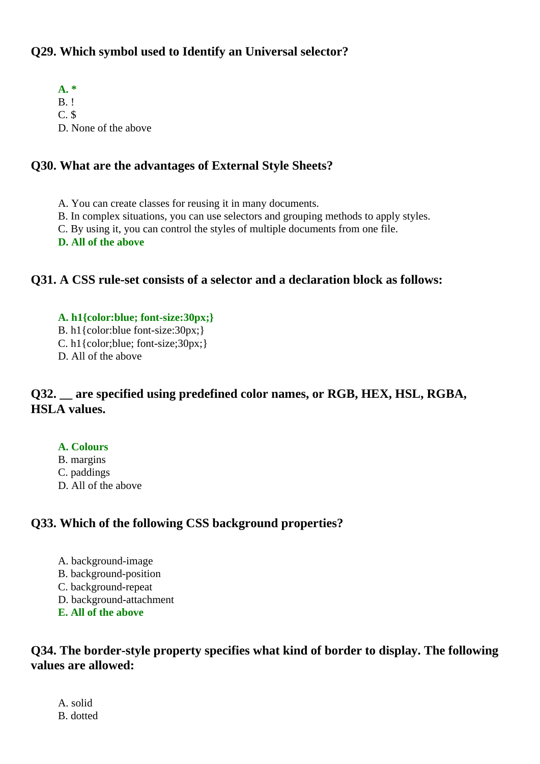# **Q29. Which symbol used to Identify an Universal selector?**

**A. \*** B. ! C. \$ D. None of the above

# **Q30. What are the advantages of External Style Sheets?**

- A. You can create classes for reusing it in many documents.
- B. In complex situations, you can use selectors and grouping methods to apply styles.
- C. By using it, you can control the styles of multiple documents from one file.
- **D. All of the above**

# **Q31. A CSS rule-set consists of a selector and a declaration block as follows:**

- **A. h1{color:blue; font-size:30px;}**
- B. h1{color:blue font-size:30px;}
- C. h1{color;blue; font-size;30px;}
- D. All of the above

# **Q32. \_\_ are specified using predefined color names, or RGB, HEX, HSL, RGBA, HSLA values.**

#### **A. Colours**

- B. margins
- C. paddings
- D. All of the above

# **Q33. Which of the following CSS background properties?**

- A. background-image
- B. background-position
- C. background-repeat
- D. background-attachment
- **E. All of the above**

# **Q34. The border-style property specifies what kind of border to display. The following values are allowed:**

A. solid B. dotted